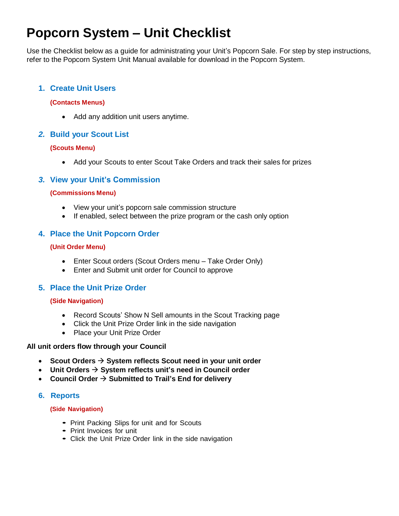# **Popcorn System – Unit Checklist**

Use the Checklist below as a guide for administrating your Unit's Popcorn Sale. For step by step instructions, refer to the Popcorn System Unit Manual available for download in the Popcorn System.

#### **1. Create Unit Users**

#### **(Contacts Menus)**

• Add any addition unit users anytime.

#### *2.* **Build your Scout List**

#### **(Scouts Menu)**

Add your Scouts to enter Scout Take Orders and track their sales for prizes

#### *3.* **View your Unit's Commission**

#### **(Commissions Menu)**

- View your unit's popcorn sale commission structure
- If enabled, select between the prize program or the cash only option

#### **4. Place the Unit Popcorn Order**

#### **(Unit Order Menu)**

- Enter Scout orders (Scout Orders menu Take Order Only)
- Enter and Submit unit order for Council to approve

#### **5. Place the Unit Prize Order**

#### **(Side Navigation)**

- Record Scouts' Show N Sell amounts in the Scout Tracking page
- Click the Unit Prize Order link in the side navigation
- Place your Unit Prize Order

#### **All unit orders flow through your Council**

- **Scout Orders System reflects Scout need in your unit order**
- Unit Orders  $\rightarrow$  System reflects unit's need in Council order
- **Council Order**  $\rightarrow$  **Submitted to Trail's End for delivery**

#### **6. Reports**

#### **(Side Navigation)**

- Print Packing Slips for unit and for Scouts
- Print Invoices for unit
- Click the Unit Prize Order link in the side navigation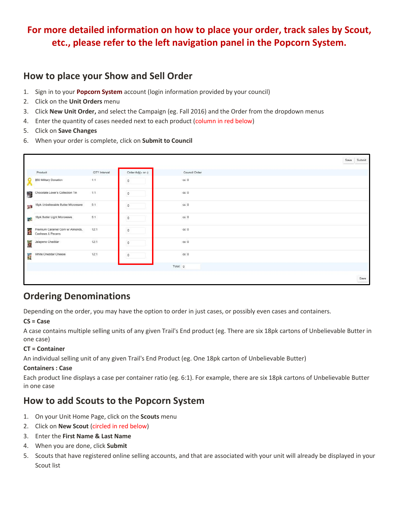# **For more detailed information on how to place your order, track sales by Scout, etc., please refer to the left navigation panel in the Popcorn System.**

# **How to place your Show and Sell Order**

- 1. Sign in to your **[Popcorn System](http://scouting.trails-end.com/)** account (login information provided by your council)
- 2. Click on the **Unit Orders** menu
- 3. Click **New Unit Order,** and select the Campaign (eg. Fall 2016) and the Order from the dropdown menus
- 4. Enter the quantity of cases needed next to each product (column in red below)
- 5. Click on **Save Changes**
- 6. When your order is complete, click on **Submit to Council**



# **Ordering Denominations**

Depending on the order, you may have the option to order in just cases, or possibly even cases and containers.

#### **CS = Case**

A case contains multiple selling units of any given Trail's End product (eg. There are six 18pk cartons of Unbelievable Butter in one case)

#### **CT = Container**

An individual selling unit of any given Trail's End Product (eg. One 18pk carton of Unbelievable Butter)

#### **Containers : Case**

Each product line displays a case per container ratio (eg. 6:1). For example, there are six 18pk cartons of Unbelievable Butter in one case

# **How to add Scouts to the Popcorn System**

- 1. On your Unit Home Page, click on the **Scouts** menu
- 2. Click on **New Scout** (circled in red below)
- 3. Enter the **First Name & Last Name**
- 4. When you are done, click **Submit**
- 5. Scouts that have registered online selling accounts, and that are associated with your unit will already be displayed in your Scout list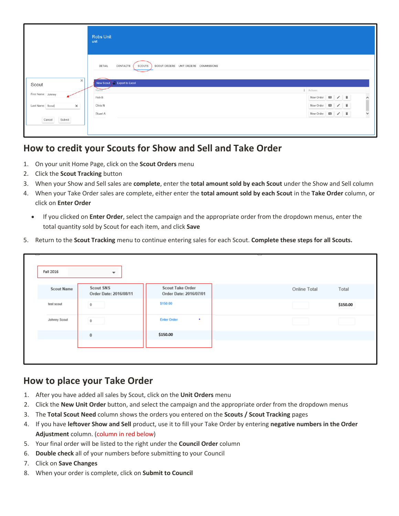|                              | <b>Robs Unit</b><br>unit                                             |                      |                         |  |                          |
|------------------------------|----------------------------------------------------------------------|----------------------|-------------------------|--|--------------------------|
| $\times$                     | CONTACTS<br>DETAIL<br>SCOUTS<br>SCOUT ORDERS UNIT ORDERS COMMISSIONS |                      |                         |  |                          |
| Scout                        | New Scout   Export to Excel                                          |                      |                         |  |                          |
| First Name: Johnny           | Name                                                                 | $\downarrow$ Actions |                         |  |                          |
|                              | Rob B                                                                |                      | New Order <b>a</b> / ii |  | $\hat{ }$                |
| Last Name: Scout<br>$\times$ | Chris N                                                              |                      | New Order <b>a</b> / i  |  |                          |
|                              | Stuart A                                                             |                      | New Order <b>a</b> / i  |  | $\overline{\phantom{0}}$ |
| Cancel<br>Submit             |                                                                      |                      |                         |  |                          |

# **How to credit your Scouts for Show and Sell and Take Order**

- 1. On your unit Home Page, click on the **Scout Orders** menu
- 2. Click the **Scout Tracking** button
- 3. When your Show and Sell sales are **complete**, enter the **total amount sold by each Scout** under the Show and Sell column
- 4. When your Take Order sales are complete, either enter the **total amount sold by each Scout** in the **Take Order** column, or click on **Enter Order** 
	- If you clicked on **Enter Order**, select the campaign and the appropriate order from the dropdown menus, enter the total quantity sold by Scout for each item, and click **Save**
- 5. Return to the **Scout Tracking** menu to continue entering sales for each Scout. **Complete these steps for all Scouts.**

| Fall 2016         | $\overline{\phantom{a}}$                   |                                                   | I            |          |
|-------------------|--------------------------------------------|---------------------------------------------------|--------------|----------|
| <b>Scout Name</b> | <b>Scout SNS</b><br>Order Date: 2016/08/11 | <b>Scout Take Order</b><br>Order Date: 2016/07/01 | Online Total | Total    |
| test scout        | $\circ$                                    | \$150.00                                          |              | \$150.00 |
| Johnny Scout      | $\circ$                                    | <b>Enter Order</b><br>$\bullet$                   |              |          |
|                   | $\bf{0}$                                   | \$150.00                                          |              |          |
|                   |                                            |                                                   |              |          |
|                   |                                            |                                                   |              |          |

### **How to place your Take Order**

- 1. After you have added all sales by Scout, click on the **Unit Orders** menu
- 2. Click the **New Unit Order** button, and select the campaign and the appropriate order from the dropdown menus
- 3. The **Total Scout Need** column shows the orders you entered on the **Scouts / Scout Tracking** pages
- 4. If you have **leftover Show and Sell** product, use it to fill your Take Order by entering **negative numbers in the Order Adjustment** column. (column in red below)
- 5. Your final order will be listed to the right under the **Council Order** column
- 6. **Double check** all of your numbers before submitting to your Council
- 7. Click on **Save Changes**
- 8. When your order is complete, click on **Submit to Council**